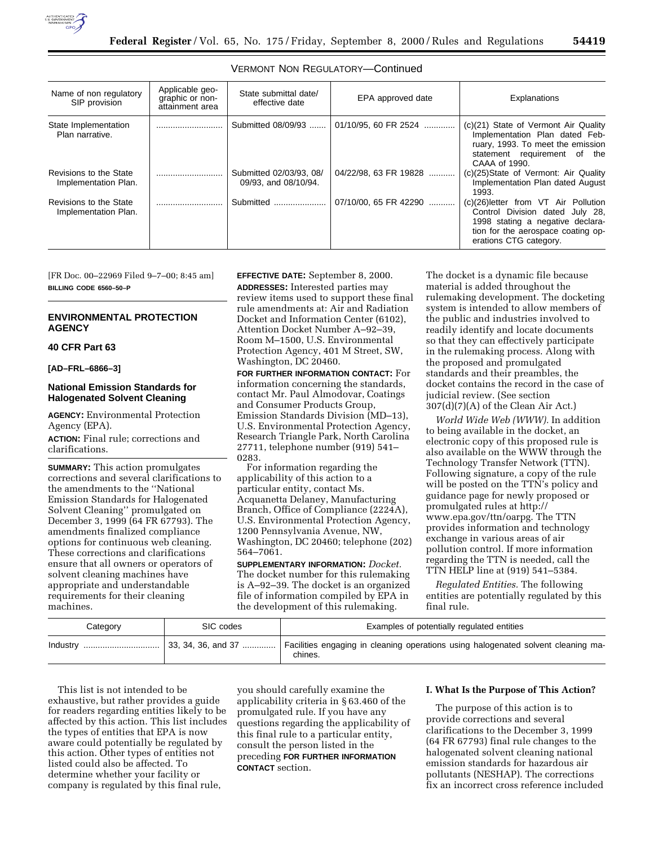

| Name of non regulatory<br>SIP provision        | Applicable geo-<br>graphic or non-<br>attainment area | State submittal date/<br>effective date         | EPA approved date     | Explanations                                                                                                                                                                |
|------------------------------------------------|-------------------------------------------------------|-------------------------------------------------|-----------------------|-----------------------------------------------------------------------------------------------------------------------------------------------------------------------------|
| State Implementation<br>Plan narrative.        |                                                       | Submitted 08/09/93                              | 01/10/95, 60 FR 2524  | (c)(21) State of Vermont Air Quality<br>Implementation Plan dated Feb-<br>ruary, 1993. To meet the emission<br>statement requirement of the<br>CAAA of 1990.                |
| Revisions to the State<br>Implementation Plan. |                                                       | Submitted 02/03/93, 08/<br>09/93, and 08/10/94. | 04/22/98, 63 FR 19828 | (c)(25)State of Vermont: Air Quality<br>Implementation Plan dated August<br>1993.                                                                                           |
| Revisions to the State<br>Implementation Plan. |                                                       | Submitted                                       | 07/10/00, 65 FR 42290 | (c)(26) letter from VT Air Pollution<br>Control Division dated July 28,<br>1998 stating a negative declara-<br>tion for the aerospace coating op-<br>erations CTG category. |

### VERMONT NON REGULATORY—Continued

[FR Doc. 00–22969 Filed 9–7–00; 8:45 am] **BILLING CODE 6560–50–P**

# **ENVIRONMENTAL PROTECTION AGENCY**

#### **40 CFR Part 63**

**[AD–FRL–6866–3]**

# **National Emission Standards for Halogenated Solvent Cleaning**

**AGENCY:** Environmental Protection Agency (EPA).

**ACTION:** Final rule; corrections and clarifications.

**SUMMARY:** This action promulgates corrections and several clarifications to the amendments to the ''National Emission Standards for Halogenated Solvent Cleaning'' promulgated on December 3, 1999 (64 FR 67793). The amendments finalized compliance options for continuous web cleaning. These corrections and clarifications ensure that all owners or operators of solvent cleaning machines have appropriate and understandable requirements for their cleaning machines.

**EFFECTIVE DATE:** September 8, 2000. **ADDRESSES:** Interested parties may review items used to support these final rule amendments at: Air and Radiation Docket and Information Center (6102), Attention Docket Number A–92–39, Room M–1500, U.S. Environmental Protection Agency, 401 M Street, SW, Washington, DC 20460.

**FOR FURTHER INFORMATION CONTACT:** For information concerning the standards, miormation concerning the standards,<br>contact Mr. Paul Almodovar, Coatings and Consumer Products Group, Emission Standards Division (MD–13), U.S. Environmental Protection Agency, Research Triangle Park, North Carolina 27711, telephone number (919) 541– 0283.

For information regarding the applicability of this action to a particular entity, contact Ms. Acquanetta Delaney, Manufacturing Branch, Office of Compliance (2224A), U.S. Environmental Protection Agency, 1200 Pennsylvania Avenue, NW, Washington, DC 20460; telephone (202) 564–7061.

**SUPPLEMENTARY INFORMATION:** *Docket.* The docket number for this rulemaking is A–92–39. The docket is an organized file of information compiled by EPA in the development of this rulemaking.

The docket is a dynamic file because material is added throughout the rulemaking development. The docketing system is intended to allow members of the public and industries involved to readily identify and locate documents so that they can effectively participate in the rulemaking process. Along with the proposed and promulgated standards and their preambles, the docket contains the record in the case of judicial review. (See section 307(d)(7)(A) of the Clean Air Act.)

*World Wide Web (WWW).* In addition to being available in the docket, an electronic copy of this proposed rule is also available on the WWW through the Technology Transfer Network (TTN). Following signature, a copy of the rule will be posted on the TTN's policy and guidance page for newly proposed or promulgated rules at http:// www.epa.gov/ttn/oarpg. The TTN provides information and technology exchange in various areas of air pollution control. If more information regarding the TTN is needed, call the TTN HELP line at (919) 541–5384.

*Regulated Entities.* The following entities are potentially regulated by this final rule.

| Category | SIC codes          | Examples of potentially regulated entities                                                   |
|----------|--------------------|----------------------------------------------------------------------------------------------|
| Industry | 33, 34, 36, and 37 | Facilities engaging in cleaning operations using halogenated solvent cleaning ma-<br>chines. |

This list is not intended to be exhaustive, but rather provides a guide for readers regarding entities likely to be affected by this action. This list includes the types of entities that EPA is now aware could potentially be regulated by this action. Other types of entities not listed could also be affected. To determine whether your facility or company is regulated by this final rule,

you should carefully examine the applicability criteria in § 63.460 of the promulgated rule. If you have any questions regarding the applicability of this final rule to a particular entity, consult the person listed in the preceding **FOR FURTHER INFORMATION CONTACT** section.

## **I. What Is the Purpose of This Action?**

The purpose of this action is to provide corrections and several clarifications to the December 3, 1999 (64 FR 67793) final rule changes to the halogenated solvent cleaning national emission standards for hazardous air pollutants (NESHAP). The corrections fix an incorrect cross reference included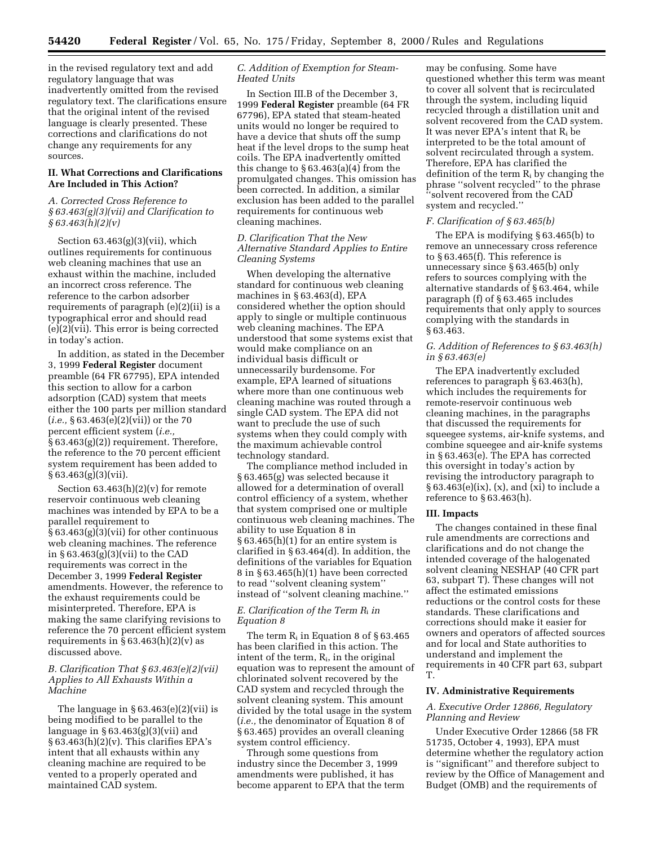in the revised regulatory text and add regulatory language that was inadvertently omitted from the revised regulatory text. The clarifications ensure that the original intent of the revised language is clearly presented. These corrections and clarifications do not change any requirements for any sources.

# **II. What Corrections and Clarifications Are Included in This Action?**

# *A. Corrected Cross Reference to § 63.463(g)(3)(vii) and Clarification to § 63.463(h)(2)(v)*

Section 63.463(g)(3)(vii), which outlines requirements for continuous web cleaning machines that use an exhaust within the machine, included an incorrect cross reference. The reference to the carbon adsorber requirements of paragraph (e)(2)(ii) is a typographical error and should read (e)(2)(vii). This error is being corrected in today's action.

In addition, as stated in the December 3, 1999 **Federal Register** document preamble (64 FR 67795), EPA intended this section to allow for a carbon adsorption (CAD) system that meets either the 100 parts per million standard (*i.e.,* § 63.463(e)(2)(vii)) or the 70 percent efficient system (*i.e.,* § 63.463(g)(2)) requirement. Therefore, the reference to the 70 percent efficient system requirement has been added to § 63.463(g)(3)(vii).

Section  $63.463(h)(2)(v)$  for remote reservoir continuous web cleaning machines was intended by EPA to be a parallel requirement to § 63.463(g)(3)(vii) for other continuous web cleaning machines. The reference in § 63.463(g)(3)(vii) to the CAD requirements was correct in the December 3, 1999 **Federal Register** amendments. However, the reference to the exhaust requirements could be misinterpreted. Therefore, EPA is making the same clarifying revisions to reference the 70 percent efficient system requirements in  $\S 63.463(h)(2)(v)$  as discussed above.

### *B. Clarification That § 63.463(e)(2)(vii) Applies to All Exhausts Within a Machine*

The language in  $\S 63.463(e)(2)(vii)$  is being modified to be parallel to the language in  $\S 63.463(g)(3)(vii)$  and  $§ 63.463(h)(2)(v)$ . This clarifies EPA's intent that all exhausts within any cleaning machine are required to be vented to a properly operated and maintained CAD system.

## *C. Addition of Exemption for Steam-Heated Units*

In Section III.B of the December 3, 1999 **Federal Register** preamble (64 FR 67796), EPA stated that steam-heated units would no longer be required to have a device that shuts off the sump heat if the level drops to the sump heat coils. The EPA inadvertently omitted this change to  $\S 63.463(a)(4)$  from the promulgated changes. This omission has been corrected. In addition, a similar exclusion has been added to the parallel requirements for continuous web cleaning machines.

### *D. Clarification That the New Alternative Standard Applies to Entire Cleaning Systems*

When developing the alternative standard for continuous web cleaning machines in § 63.463(d), EPA considered whether the option should apply to single or multiple continuous web cleaning machines. The EPA understood that some systems exist that would make compliance on an individual basis difficult or unnecessarily burdensome. For example, EPA learned of situations where more than one continuous web cleaning machine was routed through a single CAD system. The EPA did not want to preclude the use of such systems when they could comply with the maximum achievable control technology standard.

The compliance method included in § 63.465(g) was selected because it allowed for a determination of overall control efficiency of a system, whether that system comprised one or multiple continuous web cleaning machines. The ability to use Equation 8 in § 63.465(h)(1) for an entire system is clarified in § 63.464(d). In addition, the definitions of the variables for Equation 8 in § 63.465(h)(1) have been corrected to read ''solvent cleaning system'' instead of ''solvent cleaning machine.''

# *E. Clarification of the Term R*i *in Equation 8*

The term  $R_i$  in Equation 8 of §63.465 has been clarified in this action. The intent of the term, Ri, in the original equation was to represent the amount of chlorinated solvent recovered by the CAD system and recycled through the solvent cleaning system. This amount divided by the total usage in the system (*i.e.,* the denominator of Equation 8 of § 63.465) provides an overall cleaning system control efficiency.

Through some questions from industry since the December 3, 1999 amendments were published, it has become apparent to EPA that the term

may be confusing. Some have questioned whether this term was meant to cover all solvent that is recirculated through the system, including liquid recycled through a distillation unit and solvent recovered from the CAD system. It was never EPA's intent that  $R_i$  be interpreted to be the total amount of solvent recirculated through a system. Therefore, EPA has clarified the definition of the term  $R_i$  by changing the phrase ''solvent recycled'' to the phrase ''solvent recovered from the CAD system and recycled.''

### *F. Clarification of § 63.465(b)*

The EPA is modifying § 63.465(b) to remove an unnecessary cross reference to § 63.465(f). This reference is unnecessary since § 63.465(b) only refers to sources complying with the alternative standards of § 63.464, while paragraph (f) of § 63.465 includes requirements that only apply to sources complying with the standards in § 63.463.

### *G. Addition of References to § 63.463(h) in § 63.463(e)*

The EPA inadvertently excluded references to paragraph § 63.463(h), which includes the requirements for remote-reservoir continuous web cleaning machines, in the paragraphs that discussed the requirements for squeegee systems, air-knife systems, and combine squeegee and air-knife systems in § 63.463(e). The EPA has corrected this oversight in today's action by revising the introductory paragraph to  $§ 63.463(e)(ix), (x), and (xi) to include a$ reference to  $\S 63.463(h)$ .

### **III. Impacts**

The changes contained in these final rule amendments are corrections and clarifications and do not change the intended coverage of the halogenated solvent cleaning NESHAP (40 CFR part 63, subpart T). These changes will not affect the estimated emissions reductions or the control costs for these standards. These clarifications and corrections should make it easier for owners and operators of affected sources and for local and State authorities to understand and implement the requirements in 40 CFR part 63, subpart T.

#### **IV. Administrative Requirements**

# *A. Executive Order 12866, Regulatory Planning and Review*

Under Executive Order 12866 (58 FR 51735, October 4, 1993), EPA must determine whether the regulatory action is ''significant'' and therefore subject to review by the Office of Management and Budget (OMB) and the requirements of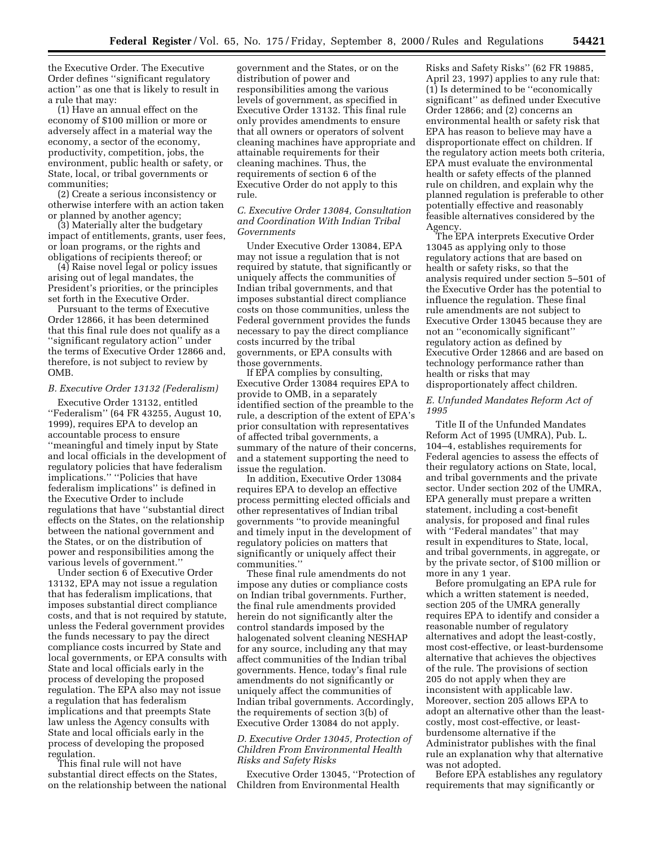the Executive Order. The Executive Order defines ''significant regulatory action'' as one that is likely to result in a rule that may:

(1) Have an annual effect on the economy of \$100 million or more or adversely affect in a material way the economy, a sector of the economy, productivity, competition, jobs, the environment, public health or safety, or State, local, or tribal governments or communities;

(2) Create a serious inconsistency or otherwise interfere with an action taken or planned by another agency;

(3) Materially alter the budgetary impact of entitlements, grants, user fees, or loan programs, or the rights and obligations of recipients thereof; or

(4) Raise novel legal or policy issues arising out of legal mandates, the President's priorities, or the principles set forth in the Executive Order.

Pursuant to the terms of Executive Order 12866, it has been determined that this final rule does not qualify as a ''significant regulatory action'' under the terms of Executive Order 12866 and, therefore, is not subject to review by OMB.

### *B. Executive Order 13132 (Federalism)*

Executive Order 13132, entitled ''Federalism'' (64 FR 43255, August 10, 1999), requires EPA to develop an accountable process to ensure ''meaningful and timely input by State and local officials in the development of regulatory policies that have federalism implications.'' ''Policies that have federalism implications'' is defined in the Executive Order to include regulations that have ''substantial direct effects on the States, on the relationship between the national government and the States, or on the distribution of power and responsibilities among the various levels of government.''

Under section 6 of Executive Order 13132, EPA may not issue a regulation that has federalism implications, that imposes substantial direct compliance costs, and that is not required by statute, unless the Federal government provides the funds necessary to pay the direct compliance costs incurred by State and local governments, or EPA consults with State and local officials early in the process of developing the proposed regulation. The EPA also may not issue a regulation that has federalism implications and that preempts State law unless the Agency consults with State and local officials early in the process of developing the proposed regulation.

This final rule will not have substantial direct effects on the States, on the relationship between the national

government and the States, or on the distribution of power and responsibilities among the various levels of government, as specified in Executive Order 13132. This final rule only provides amendments to ensure that all owners or operators of solvent cleaning machines have appropriate and attainable requirements for their cleaning machines. Thus, the requirements of section 6 of the Executive Order do not apply to this rule.

# *C. Executive Order 13084, Consultation and Coordination With Indian Tribal Governments*

Under Executive Order 13084, EPA may not issue a regulation that is not required by statute, that significantly or uniquely affects the communities of Indian tribal governments, and that imposes substantial direct compliance costs on those communities, unless the Federal government provides the funds necessary to pay the direct compliance costs incurred by the tribal governments, or EPA consults with those governments.

If EPA complies by consulting, Executive Order 13084 requires EPA to provide to OMB, in a separately identified section of the preamble to the rule, a description of the extent of EPA's prior consultation with representatives of affected tribal governments, a summary of the nature of their concerns, and a statement supporting the need to issue the regulation.

In addition, Executive Order 13084 requires EPA to develop an effective process permitting elected officials and other representatives of Indian tribal governments ''to provide meaningful and timely input in the development of regulatory policies on matters that significantly or uniquely affect their communities.''

These final rule amendments do not impose any duties or compliance costs on Indian tribal governments. Further, the final rule amendments provided herein do not significantly alter the control standards imposed by the halogenated solvent cleaning NESHAP for any source, including any that may affect communities of the Indian tribal governments. Hence, today's final rule amendments do not significantly or uniquely affect the communities of Indian tribal governments. Accordingly, the requirements of section 3(b) of Executive Order 13084 do not apply.

### *D. Executive Order 13045, Protection of Children From Environmental Health Risks and Safety Risks*

Executive Order 13045, ''Protection of Children from Environmental Health

Risks and Safety Risks'' (62 FR 19885, April 23, 1997) applies to any rule that: (1) Is determined to be ''economically significant'' as defined under Executive Order 12866; and (2) concerns an environmental health or safety risk that EPA has reason to believe may have a disproportionate effect on children. If the regulatory action meets both criteria, EPA must evaluate the environmental health or safety effects of the planned rule on children, and explain why the planned regulation is preferable to other potentially effective and reasonably feasible alternatives considered by the Agency.

The EPA interprets Executive Order 13045 as applying only to those regulatory actions that are based on health or safety risks, so that the analysis required under section 5–501 of the Executive Order has the potential to influence the regulation. These final rule amendments are not subject to Executive Order 13045 because they are not an ''economically significant'' regulatory action as defined by Executive Order 12866 and are based on technology performance rather than health or risks that may disproportionately affect children.

#### *E. Unfunded Mandates Reform Act of 1995*

Title II of the Unfunded Mandates Reform Act of 1995 (UMRA), Pub. L. 104–4, establishes requirements for Federal agencies to assess the effects of their regulatory actions on State, local, and tribal governments and the private sector. Under section 202 of the UMRA, EPA generally must prepare a written statement, including a cost-benefit analysis, for proposed and final rules with ''Federal mandates'' that may result in expenditures to State, local, and tribal governments, in aggregate, or by the private sector, of \$100 million or more in any 1 year.

Before promulgating an EPA rule for which a written statement is needed, section 205 of the UMRA generally requires EPA to identify and consider a reasonable number of regulatory alternatives and adopt the least-costly, most cost-effective, or least-burdensome alternative that achieves the objectives of the rule. The provisions of section 205 do not apply when they are inconsistent with applicable law. Moreover, section 205 allows EPA to adopt an alternative other than the leastcostly, most cost-effective, or leastburdensome alternative if the Administrator publishes with the final rule an explanation why that alternative was not adopted.

Before EPA establishes any regulatory requirements that may significantly or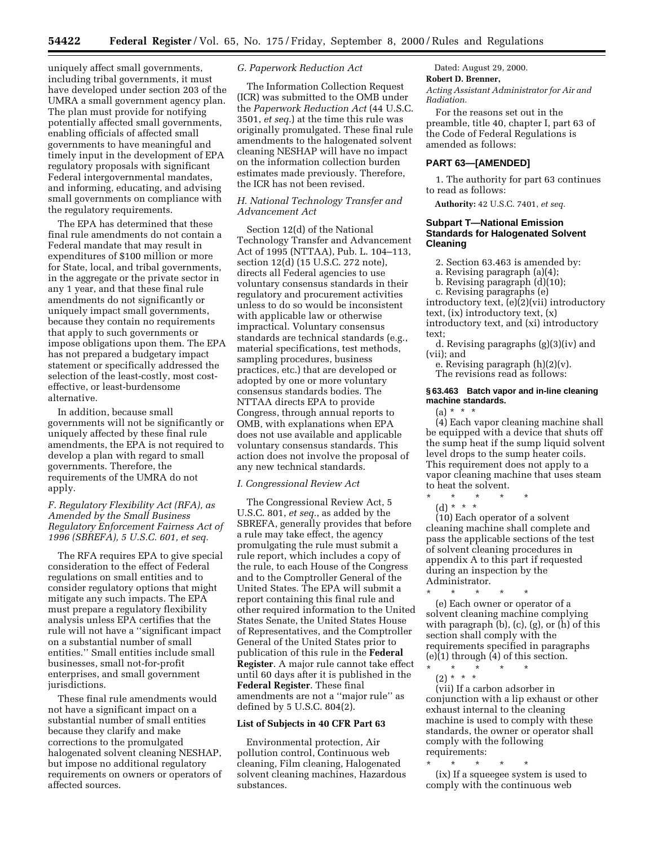uniquely affect small governments, including tribal governments, it must have developed under section 203 of the UMRA a small government agency plan. The plan must provide for notifying potentially affected small governments, enabling officials of affected small governments to have meaningful and timely input in the development of EPA regulatory proposals with significant Federal intergovernmental mandates, and informing, educating, and advising small governments on compliance with the regulatory requirements.

The EPA has determined that these final rule amendments do not contain a Federal mandate that may result in expenditures of \$100 million or more for State, local, and tribal governments, in the aggregate or the private sector in any 1 year, and that these final rule amendments do not significantly or uniquely impact small governments, because they contain no requirements that apply to such governments or impose obligations upon them. The EPA has not prepared a budgetary impact statement or specifically addressed the selection of the least-costly, most costeffective, or least-burdensome alternative.

In addition, because small governments will not be significantly or uniquely affected by these final rule amendments, the EPA is not required to develop a plan with regard to small governments. Therefore, the requirements of the UMRA do not apply.

# *F. Regulatory Flexibility Act (RFA), as Amended by the Small Business Regulatory Enforcement Fairness Act of 1996 (SBREFA), 5 U.S.C. 601, et seq.*

The RFA requires EPA to give special consideration to the effect of Federal regulations on small entities and to consider regulatory options that might mitigate any such impacts. The EPA must prepare a regulatory flexibility analysis unless EPA certifies that the rule will not have a ''significant impact on a substantial number of small entities.'' Small entities include small businesses, small not-for-profit enterprises, and small government jurisdictions.

These final rule amendments would not have a significant impact on a substantial number of small entities because they clarify and make corrections to the promulgated halogenated solvent cleaning NESHAP, but impose no additional regulatory requirements on owners or operators of affected sources.

### *G. Paperwork Reduction Act*

The Information Collection Request (ICR) was submitted to the OMB under the *Paperwork Reduction Act* (44 U.S.C. 3501, *et seq.*) at the time this rule was originally promulgated. These final rule amendments to the halogenated solvent cleaning NESHAP will have no impact on the information collection burden estimates made previously. Therefore, the ICR has not been revised.

### *H. National Technology Transfer and Advancement Act*

Section 12(d) of the National Technology Transfer and Advancement Act of 1995 (NTTAA), Pub. L. 104–113, section 12(d) (15 U.S.C. 272 note), directs all Federal agencies to use voluntary consensus standards in their regulatory and procurement activities unless to do so would be inconsistent with applicable law or otherwise impractical. Voluntary consensus standards are technical standards (e.g., material specifications, test methods, sampling procedures, business practices, etc.) that are developed or adopted by one or more voluntary consensus standards bodies. The NTTAA directs EPA to provide Congress, through annual reports to OMB, with explanations when EPA does not use available and applicable voluntary consensus standards. This action does not involve the proposal of any new technical standards.

#### *I. Congressional Review Act*

The Congressional Review Act, 5 U.S.C. 801, *et seq.*, as added by the SBREFA, generally provides that before a rule may take effect, the agency promulgating the rule must submit a rule report, which includes a copy of the rule, to each House of the Congress and to the Comptroller General of the United States. The EPA will submit a report containing this final rule and other required information to the United States Senate, the United States House of Representatives, and the Comptroller General of the United States prior to publication of this rule in the **Federal Register**. A major rule cannot take effect until 60 days after it is published in the **Federal Register**. These final amendments are not a ''major rule'' as defined by 5 U.S.C. 804(2).

# **List of Subjects in 40 CFR Part 63**

Environmental protection, Air pollution control, Continuous web cleaning, Film cleaning, Halogenated solvent cleaning machines, Hazardous substances.

Dated: August 29, 2000.

**Robert D. Brenner,**

*Acting Assistant Administrator for Air and Radiation.*

For the reasons set out in the preamble, title 40, chapter I, part 63 of the Code of Federal Regulations is amended as follows:

# **PART 63—[AMENDED]**

1. The authority for part 63 continues to read as follows:

**Authority:** 42 U.S.C. 7401, *et seq.*

# **Subpart T—National Emission Standards for Halogenated Solvent Cleaning**

2. Section 63.463 is amended by:

a. Revising paragraph (a)(4);

b. Revising paragraph (d)(10);

c. Revising paragraphs (e) introductory text, (e)(2)(vii) introductory text, (ix) introductory text, (x) introductory text, and (xi) introductory text;

d. Revising paragraphs (g)(3)(iv) and (vii); and

e. Revising paragraph (h)(2)(v). The revisions read as follows:

#### **§ 63.463 Batch vapor and in-line cleaning machine standards.**

 $(a) * * * *$ 

(4) Each vapor cleaning machine shall be equipped with a device that shuts off the sump heat if the sump liquid solvent level drops to the sump heater coils. This requirement does not apply to a vapor cleaning machine that uses steam to heat the solvent.

\* \* \* \* \*

(d) \* \* \*

(10) Each operator of a solvent cleaning machine shall complete and pass the applicable sections of the test of solvent cleaning procedures in appendix A to this part if requested during an inspection by the Administrator.

\* \* \* \* \* (e) Each owner or operator of a solvent cleaning machine complying with paragraph (b), (c), (g), or (h) of this section shall comply with the requirements specified in paragraphs  $(e)$  $(1)$  through  $(4)$  of this section.

\* \* \* \* \* (2) \* \* \*

(vii) If a carbon adsorber in conjunction with a lip exhaust or other exhaust internal to the cleaning machine is used to comply with these standards, the owner or operator shall comply with the following requirements:

\* \* \* \* \* (ix) If a squeegee system is used to comply with the continuous web